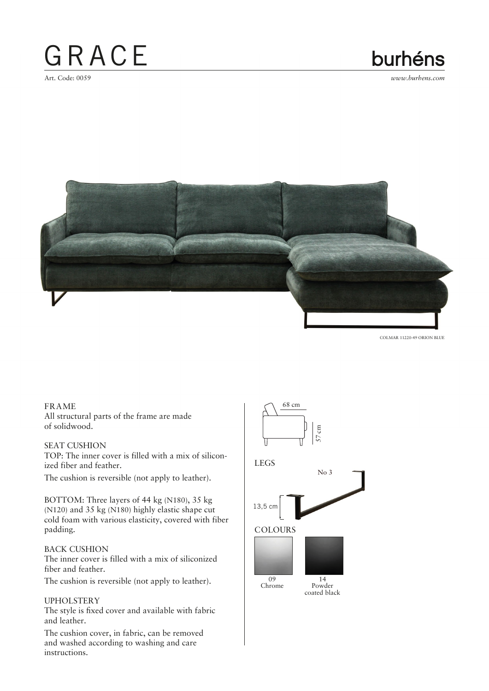## GRACE

### burhéns

Art. Code: 0059 *www.burhens.com*



COLMAR 11220-49 ORION BLUE

#### FRAME

All structural parts of the frame are made of solidwood.

#### SEAT CUSHION

TOP: The inner cover is filled with a mix of siliconized fiber and feather.

The cushion is reversible (not apply to leather).

BOTTOM: Three layers of 44 kg (N180), 35 kg (N120) and 35 kg (N180) highly elastic shape cut cold foam with various elasticity, covered with fiber padding.

#### BACK CUSHION

The inner cover is filled with a mix of siliconized fiber and feather.

The cushion is reversible (not apply to leather).

#### UPHOLSTERY

The style is fixed cover and available with fabric and leather.

The cushion cover, in fabric, can be removed and washed according to washing and care instructions.